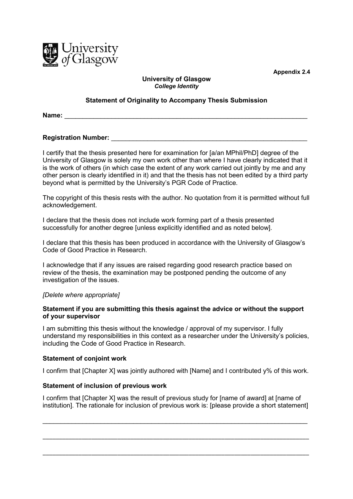

**Appendix 2.4**

# **University of Glasgow** *College Identity*

## **Statement of Originality to Accompany Thesis Submission**

**Name:**  $\blacksquare$ 

## **Registration Number:**

I certify that the thesis presented here for examination for [a/an MPhil/PhD] degree of the University of Glasgow is solely my own work other than where I have clearly indicated that it is the work of others (in which case the extent of any work carried out jointly by me and any other person is clearly identified in it) and that the thesis has not been edited by a third party beyond what is permitted by the University's PGR Code of Practice.

The copyright of this thesis rests with the author. No quotation from it is permitted without full acknowledgement.

I declare that the thesis does not include work forming part of a thesis presented successfully for another degree [unless explicitly identified and as noted below].

I declare that this thesis has been produced in accordance with the University of Glasgow's Code of Good Practice in Research.

I acknowledge that if any issues are raised regarding good research practice based on review of the thesis, the examination may be postponed pending the outcome of any investigation of the issues.

#### *[Delete where appropriate]*

## **Statement if you are submitting this thesis against the advice or without the support of your supervisor**

I am submitting this thesis without the knowledge / approval of my supervisor. I fully understand my responsibilities in this context as a researcher under the University's policies, including the Code of Good Practice in Research.

#### **Statement of conjoint work**

I confirm that [Chapter X] was jointly authored with [Name] and I contributed y% of this work.

#### **Statement of inclusion of previous work**

I confirm that [Chapter X] was the result of previous study for [name of award] at [name of institution]. The rationale for inclusion of previous work is: [please provide a short statement]

\_\_\_\_\_\_\_\_\_\_\_\_\_\_\_\_\_\_\_\_\_\_\_\_\_\_\_\_\_\_\_\_\_\_\_\_\_\_\_\_\_\_\_\_\_\_\_\_\_\_\_\_\_\_\_\_\_\_\_\_\_\_\_\_\_\_\_\_\_\_\_\_\_

\_\_\_\_\_\_\_\_\_\_\_\_\_\_\_\_\_\_\_\_\_\_\_\_\_\_\_\_\_\_\_\_\_\_\_\_\_\_\_\_\_\_\_\_\_\_\_\_\_\_\_\_\_\_\_\_\_\_\_\_\_\_\_\_\_\_\_\_\_\_\_\_\_\_\_\_\_\_\_\_\_\_

\_\_\_\_\_\_\_\_\_\_\_\_\_\_\_\_\_\_\_\_\_\_\_\_\_\_\_\_\_\_\_\_\_\_\_\_\_\_\_\_\_\_\_\_\_\_\_\_\_\_\_\_\_\_\_\_\_\_\_\_\_\_\_\_\_\_\_\_\_\_\_\_\_\_\_\_\_\_\_\_\_\_